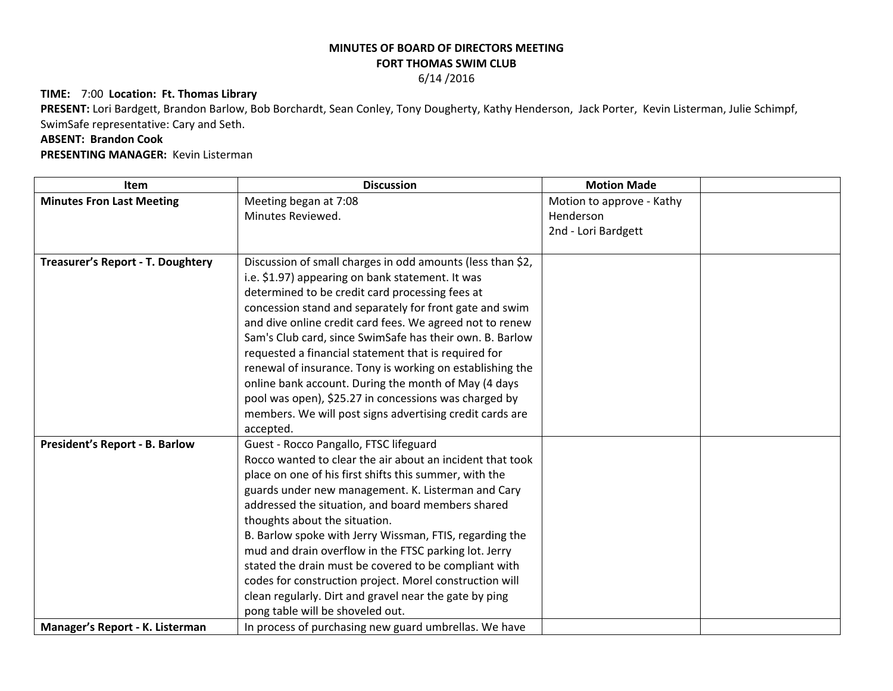## **MINUTES OF BOARD OF DIRECTORS MEETING FORT THOMAS SWIM CLUB**

6/14 /2016

## **TIME:** 7:00 **Location: Ft. Thomas Library**

**PRESENT:** Lori Bardgett, Brandon Barlow, Bob Borchardt, Sean Conley, Tony Dougherty, Kathy Henderson, Jack Porter, Kevin Listerman, Julie Schimpf, SwimSafe representative: Cary and Seth.

## **ABSENT: Brandon Cook**

**PRESENTING MANAGER:** Kevin Listerman

| Item                                     | <b>Discussion</b>                                          | <b>Motion Made</b>        |  |
|------------------------------------------|------------------------------------------------------------|---------------------------|--|
| <b>Minutes Fron Last Meeting</b>         | Meeting began at 7:08                                      | Motion to approve - Kathy |  |
|                                          | Minutes Reviewed.                                          | Henderson                 |  |
|                                          |                                                            | 2nd - Lori Bardgett       |  |
|                                          |                                                            |                           |  |
| <b>Treasurer's Report - T. Doughtery</b> | Discussion of small charges in odd amounts (less than \$2, |                           |  |
|                                          | i.e. \$1.97) appearing on bank statement. It was           |                           |  |
|                                          | determined to be credit card processing fees at            |                           |  |
|                                          | concession stand and separately for front gate and swim    |                           |  |
|                                          | and dive online credit card fees. We agreed not to renew   |                           |  |
|                                          | Sam's Club card, since SwimSafe has their own. B. Barlow   |                           |  |
|                                          | requested a financial statement that is required for       |                           |  |
|                                          | renewal of insurance. Tony is working on establishing the  |                           |  |
|                                          | online bank account. During the month of May (4 days       |                           |  |
|                                          | pool was open), \$25.27 in concessions was charged by      |                           |  |
|                                          | members. We will post signs advertising credit cards are   |                           |  |
|                                          | accepted.                                                  |                           |  |
| <b>President's Report - B. Barlow</b>    | Guest - Rocco Pangallo, FTSC lifeguard                     |                           |  |
|                                          | Rocco wanted to clear the air about an incident that took  |                           |  |
|                                          | place on one of his first shifts this summer, with the     |                           |  |
|                                          | guards under new management. K. Listerman and Cary         |                           |  |
|                                          | addressed the situation, and board members shared          |                           |  |
|                                          | thoughts about the situation.                              |                           |  |
|                                          | B. Barlow spoke with Jerry Wissman, FTIS, regarding the    |                           |  |
|                                          | mud and drain overflow in the FTSC parking lot. Jerry      |                           |  |
|                                          | stated the drain must be covered to be compliant with      |                           |  |
|                                          | codes for construction project. Morel construction will    |                           |  |
|                                          | clean regularly. Dirt and gravel near the gate by ping     |                           |  |
|                                          | pong table will be shoveled out.                           |                           |  |
| Manager's Report - K. Listerman          | In process of purchasing new guard umbrellas. We have      |                           |  |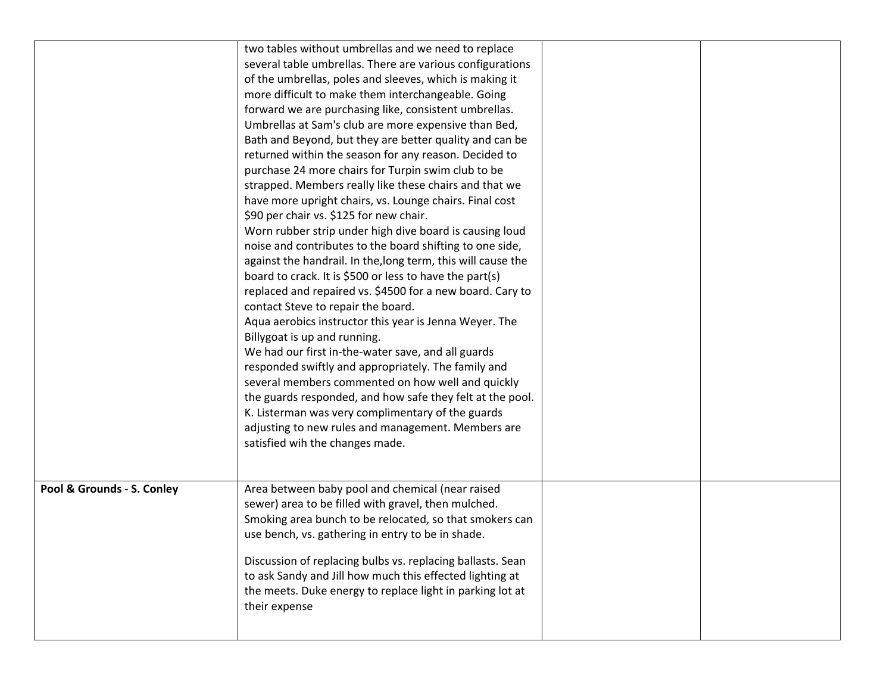|                            | two tables without umbrellas and we need to replace<br>several table umbrellas. There are various configurations<br>of the umbrellas, poles and sleeves, which is making it<br>more difficult to make them interchangeable. Going<br>forward we are purchasing like, consistent umbrellas.<br>Umbrellas at Sam's club are more expensive than Bed,<br>Bath and Beyond, but they are better quality and can be<br>returned within the season for any reason. Decided to<br>purchase 24 more chairs for Turpin swim club to be<br>strapped. Members really like these chairs and that we<br>have more upright chairs, vs. Lounge chairs. Final cost<br>\$90 per chair vs. \$125 for new chair.<br>Worn rubber strip under high dive board is causing loud<br>noise and contributes to the board shifting to one side,<br>against the handrail. In the, long term, this will cause the<br>board to crack. It is \$500 or less to have the part(s)<br>replaced and repaired vs. \$4500 for a new board. Cary to<br>contact Steve to repair the board.<br>Aqua aerobics instructor this year is Jenna Weyer. The<br>Billygoat is up and running.<br>We had our first in-the-water save, and all guards<br>responded swiftly and appropriately. The family and<br>several members commented on how well and quickly<br>the guards responded, and how safe they felt at the pool.<br>K. Listerman was very complimentary of the guards<br>adjusting to new rules and management. Members are<br>satisfied wih the changes made. |  |
|----------------------------|--------------------------------------------------------------------------------------------------------------------------------------------------------------------------------------------------------------------------------------------------------------------------------------------------------------------------------------------------------------------------------------------------------------------------------------------------------------------------------------------------------------------------------------------------------------------------------------------------------------------------------------------------------------------------------------------------------------------------------------------------------------------------------------------------------------------------------------------------------------------------------------------------------------------------------------------------------------------------------------------------------------------------------------------------------------------------------------------------------------------------------------------------------------------------------------------------------------------------------------------------------------------------------------------------------------------------------------------------------------------------------------------------------------------------------------------------------------------------------------------------------------------------|--|
| Pool & Grounds - S. Conley | Area between baby pool and chemical (near raised<br>sewer) area to be filled with gravel, then mulched.<br>Smoking area bunch to be relocated, so that smokers can<br>use bench, vs. gathering in entry to be in shade.<br>Discussion of replacing bulbs vs. replacing ballasts. Sean<br>to ask Sandy and Jill how much this effected lighting at<br>the meets. Duke energy to replace light in parking lot at<br>their expense                                                                                                                                                                                                                                                                                                                                                                                                                                                                                                                                                                                                                                                                                                                                                                                                                                                                                                                                                                                                                                                                                          |  |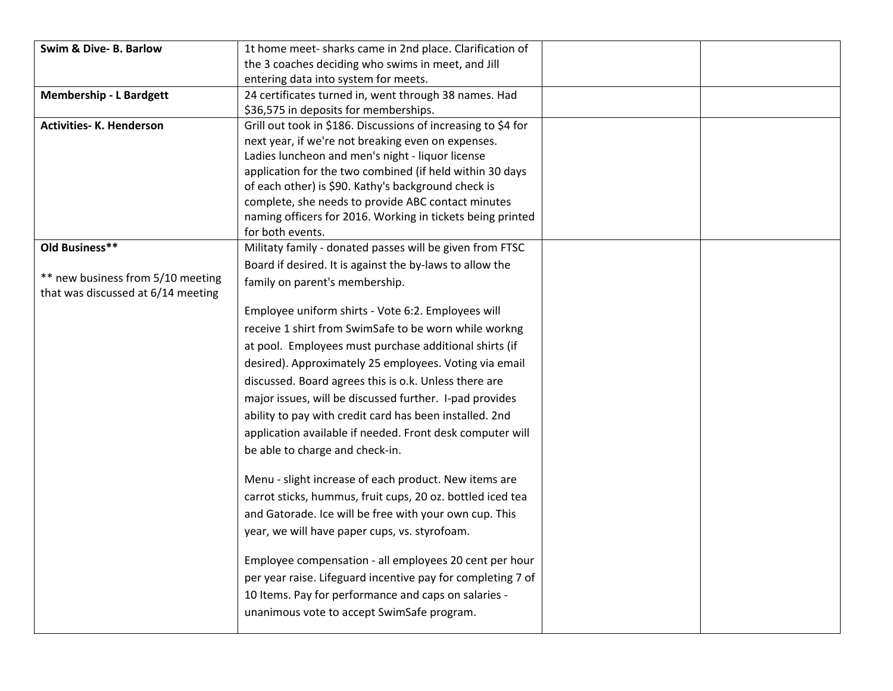| Swim & Dive- B. Barlow             | 1t home meet-sharks came in 2nd place. Clarification of                                                             |  |
|------------------------------------|---------------------------------------------------------------------------------------------------------------------|--|
|                                    | the 3 coaches deciding who swims in meet, and Jill                                                                  |  |
|                                    | entering data into system for meets.                                                                                |  |
| <b>Membership - L Bardgett</b>     | 24 certificates turned in, went through 38 names. Had                                                               |  |
|                                    | \$36,575 in deposits for memberships.                                                                               |  |
| <b>Activities-K. Henderson</b>     | Grill out took in \$186. Discussions of increasing to \$4 for                                                       |  |
|                                    | next year, if we're not breaking even on expenses.                                                                  |  |
|                                    | Ladies luncheon and men's night - liquor license                                                                    |  |
|                                    | application for the two combined (if held within 30 days                                                            |  |
|                                    | of each other) is \$90. Kathy's background check is                                                                 |  |
|                                    | complete, she needs to provide ABC contact minutes                                                                  |  |
|                                    | naming officers for 2016. Working in tickets being printed<br>for both events.                                      |  |
| Old Business**                     | Militaty family - donated passes will be given from FTSC                                                            |  |
|                                    | Board if desired. It is against the by-laws to allow the                                                            |  |
| ** new business from 5/10 meeting  | family on parent's membership.                                                                                      |  |
| that was discussed at 6/14 meeting |                                                                                                                     |  |
|                                    | Employee uniform shirts - Vote 6:2. Employees will                                                                  |  |
|                                    | receive 1 shirt from SwimSafe to be worn while workng                                                               |  |
|                                    | at pool. Employees must purchase additional shirts (if                                                              |  |
|                                    | desired). Approximately 25 employees. Voting via email                                                              |  |
|                                    | discussed. Board agrees this is o.k. Unless there are                                                               |  |
|                                    | major issues, will be discussed further. I-pad provides                                                             |  |
|                                    | ability to pay with credit card has been installed. 2nd                                                             |  |
|                                    | application available if needed. Front desk computer will                                                           |  |
|                                    | be able to charge and check-in.                                                                                     |  |
|                                    |                                                                                                                     |  |
|                                    | Menu - slight increase of each product. New items are<br>carrot sticks, hummus, fruit cups, 20 oz. bottled iced tea |  |
|                                    |                                                                                                                     |  |
|                                    | and Gatorade. Ice will be free with your own cup. This                                                              |  |
|                                    | year, we will have paper cups, vs. styrofoam.                                                                       |  |
|                                    | Employee compensation - all employees 20 cent per hour                                                              |  |
|                                    | per year raise. Lifeguard incentive pay for completing 7 of                                                         |  |
|                                    | 10 Items. Pay for performance and caps on salaries -                                                                |  |
|                                    | unanimous vote to accept SwimSafe program.                                                                          |  |
|                                    |                                                                                                                     |  |